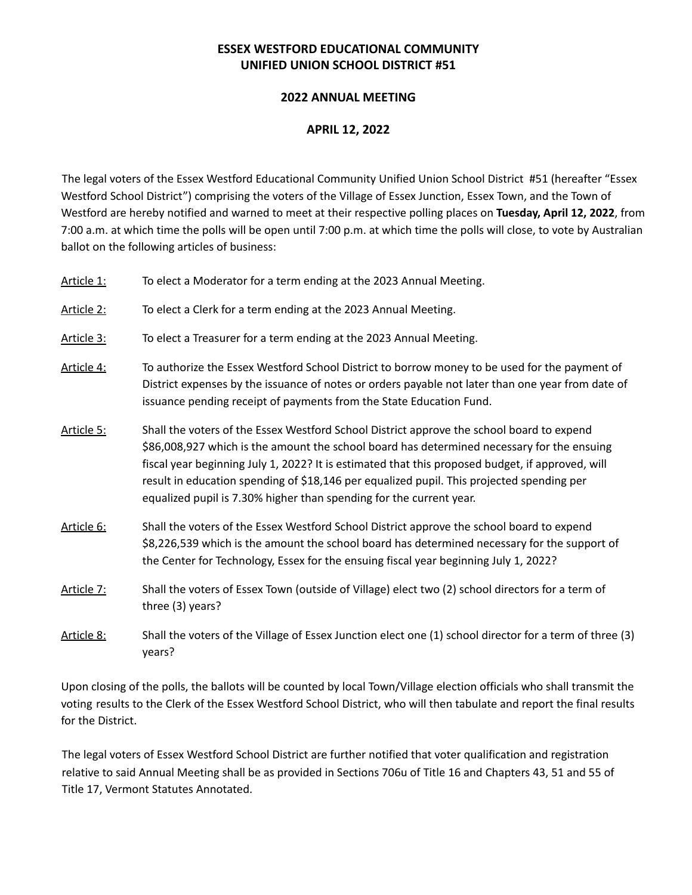## **ESSEX WESTFORD EDUCATIONAL COMMUNITY UNIFIED UNION SCHOOL DISTRICT #51**

## **2022 ANNUAL MEETING**

## **APRIL 12, 2022**

The legal voters of the Essex Westford Educational Community Unified Union School District #51 (hereafter "Essex Westford School District") comprising the voters of the Village of Essex Junction, Essex Town, and the Town of Westford are hereby notified and warned to meet at their respective polling places on **Tuesday, April 12, 2022**, from 7:00 a.m. at which time the polls will be open until 7:00 p.m. at which time the polls will close, to vote by Australian ballot on the following articles of business:

| Article 1: | To elect a Moderator for a term ending at the 2023 Annual Meeting.                                                                                                                                                                                                                                                                                                                                                                                              |
|------------|-----------------------------------------------------------------------------------------------------------------------------------------------------------------------------------------------------------------------------------------------------------------------------------------------------------------------------------------------------------------------------------------------------------------------------------------------------------------|
| Article 2: | To elect a Clerk for a term ending at the 2023 Annual Meeting.                                                                                                                                                                                                                                                                                                                                                                                                  |
| Article 3: | To elect a Treasurer for a term ending at the 2023 Annual Meeting.                                                                                                                                                                                                                                                                                                                                                                                              |
| Article 4: | To authorize the Essex Westford School District to borrow money to be used for the payment of<br>District expenses by the issuance of notes or orders payable not later than one year from date of<br>issuance pending receipt of payments from the State Education Fund.                                                                                                                                                                                       |
| Article 5: | Shall the voters of the Essex Westford School District approve the school board to expend<br>\$86,008,927 which is the amount the school board has determined necessary for the ensuing<br>fiscal year beginning July 1, 2022? It is estimated that this proposed budget, if approved, will<br>result in education spending of \$18,146 per equalized pupil. This projected spending per<br>equalized pupil is 7.30% higher than spending for the current year. |
| Article 6: | Shall the voters of the Essex Westford School District approve the school board to expend<br>\$8,226,539 which is the amount the school board has determined necessary for the support of<br>the Center for Technology, Essex for the ensuing fiscal year beginning July 1, 2022?                                                                                                                                                                               |
| Article 7: | Shall the voters of Essex Town (outside of Village) elect two (2) school directors for a term of<br>three (3) years?                                                                                                                                                                                                                                                                                                                                            |
| Article 8: | Shall the voters of the Village of Essex Junction elect one (1) school director for a term of three (3)<br>years?                                                                                                                                                                                                                                                                                                                                               |

Upon closing of the polls, the ballots will be counted by local Town/Village election officials who shall transmit the voting results to the Clerk of the Essex Westford School District, who will then tabulate and report the final results for the District.

The legal voters of Essex Westford School District are further notified that voter qualification and registration relative to said Annual Meeting shall be as provided in Sections 706u of Title 16 and Chapters 43, 51 and 55 of Title 17, Vermont Statutes Annotated.